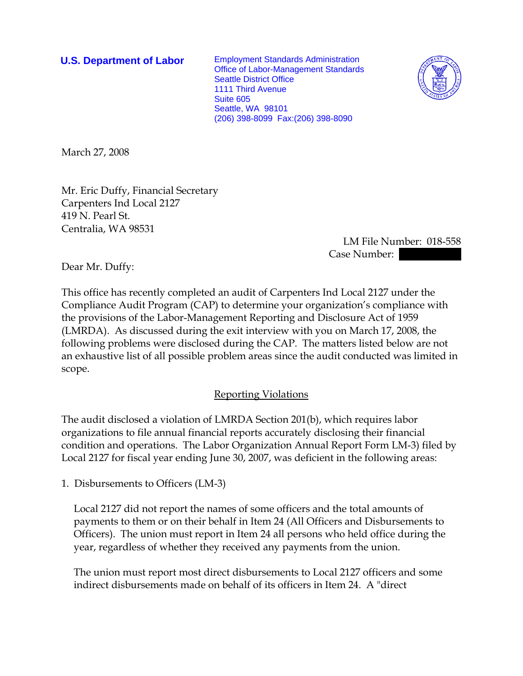**U.S. Department of Labor** Employment Standards Administration Office of Labor-Management Standards Seattle District Office 1111 Third Avenue Suite 605 Seattle, WA 98101 (206) 398-8099 Fax:(206) 398-8090



March 27, 2008

Mr. Eric Duffy, Financial Secretary Carpenters Ind Local 2127 419 N. Pearl St. Centralia, WA 98531

> LM File Number: 018-558 Case Number:

Dear Mr. Duffy:

This office has recently completed an audit of Carpenters Ind Local 2127 under the Compliance Audit Program (CAP) to determine your organization's compliance with the provisions of the Labor-Management Reporting and Disclosure Act of 1959 (LMRDA). As discussed during the exit interview with you on March 17, 2008, the following problems were disclosed during the CAP. The matters listed below are not an exhaustive list of all possible problem areas since the audit conducted was limited in scope.

## Reporting Violations

The audit disclosed a violation of LMRDA Section 201(b), which requires labor organizations to file annual financial reports accurately disclosing their financial condition and operations. The Labor Organization Annual Report Form LM-3) filed by Local 2127 for fiscal year ending June 30, 2007, was deficient in the following areas:

1. Disbursements to Officers (LM-3)

Local 2127 did not report the names of some officers and the total amounts of payments to them or on their behalf in Item 24 (All Officers and Disbursements to Officers). The union must report in Item 24 all persons who held office during the year, regardless of whether they received any payments from the union.

The union must report most direct disbursements to Local 2127 officers and some indirect disbursements made on behalf of its officers in Item 24. A "direct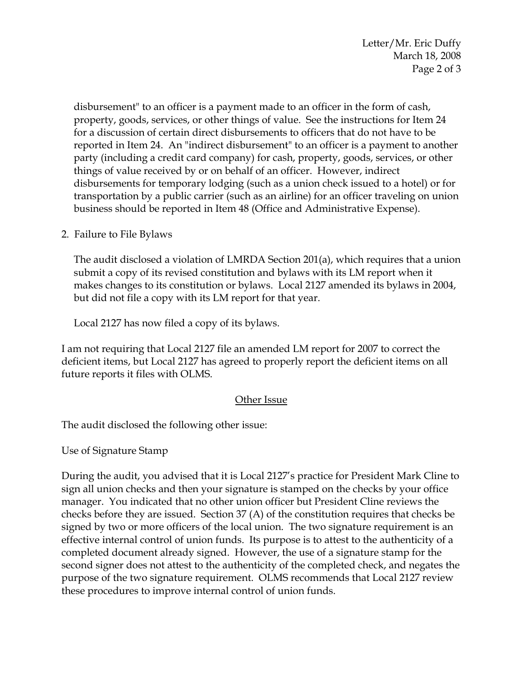Letter/Mr. Eric Duffy March 18, 2008 Page 2 of 3

disbursement" to an officer is a payment made to an officer in the form of cash, property, goods, services, or other things of value. See the instructions for Item 24 for a discussion of certain direct disbursements to officers that do not have to be reported in Item 24. An "indirect disbursement" to an officer is a payment to another party (including a credit card company) for cash, property, goods, services, or other things of value received by or on behalf of an officer. However, indirect disbursements for temporary lodging (such as a union check issued to a hotel) or for transportation by a public carrier (such as an airline) for an officer traveling on union business should be reported in Item 48 (Office and Administrative Expense).

2. Failure to File Bylaws

The audit disclosed a violation of LMRDA Section 201(a), which requires that a union submit a copy of its revised constitution and bylaws with its LM report when it makes changes to its constitution or bylaws. Local 2127 amended its bylaws in 2004, but did not file a copy with its LM report for that year.

Local 2127 has now filed a copy of its bylaws.

I am not requiring that Local 2127 file an amended LM report for 2007 to correct the deficient items, but Local 2127 has agreed to properly report the deficient items on all future reports it files with OLMS.

## Other Issue

The audit disclosed the following other issue:

Use of Signature Stamp

During the audit, you advised that it is Local 2127's practice for President Mark Cline to sign all union checks and then your signature is stamped on the checks by your office manager. You indicated that no other union officer but President Cline reviews the checks before they are issued. Section 37 (A) of the constitution requires that checks be signed by two or more officers of the local union. The two signature requirement is an effective internal control of union funds. Its purpose is to attest to the authenticity of a completed document already signed. However, the use of a signature stamp for the second signer does not attest to the authenticity of the completed check, and negates the purpose of the two signature requirement. OLMS recommends that Local 2127 review these procedures to improve internal control of union funds.